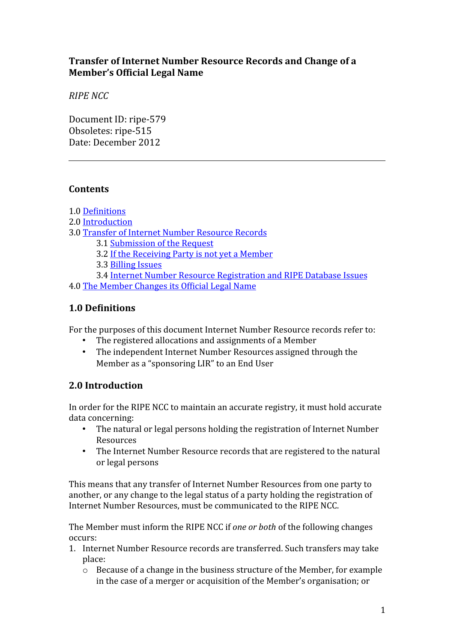# **Transfer of Internet Number Resource Records and Change of a Member's Official Legal Name**

*RIPE NCC*

Document ID: ripe-579 Obsoletes: ripe-515 Date: December 2012

# **Contents**

1.0 [Definitions](#page-0-1)

- 2.0 [Introduction](#page-0-0)
- 3.0 [Transfer of Internet Number Resource Records](#page-1-1)
	- 3.1 [Submission of the Request](#page-1-0)
	- 3.2 [If the Receiving Party is not yet a Member](#page-3-2)

3.3 [Billing Issues](#page-3-1)

- 3.4 [Internet Number Resource Registration and RIPE Database Issues](#page-3-0)
- 4.0 [The Member Changes its Official Legal Name](#page-4-0)

# <span id="page-0-1"></span>**1.0 Definitions**

For the purposes of this document Internet Number Resource records refer to:

- The registered allocations and assignments of a Member
- The independent Internet Number Resources assigned through the Member as a "sponsoring LIR" to an End User

# <span id="page-0-0"></span>**2.0 Introduction**

In order for the RIPE NCC to maintain an accurate registry, it must hold accurate data concerning:

- The natural or legal persons holding the registration of Internet Number Resources
- The Internet Number Resource records that are registered to the natural or legal persons

This means that any transfer of Internet Number Resources from one party to another, or any change to the legal status of a party holding the registration of Internet Number Resources, must be communicated to the RIPE NCC.

The Member must inform the RIPE NCC if *one or both* of the following changes occurs:

- 1. Internet Number Resource records are transferred. Such transfers may take place:
	- o Because of a change in the business structure of the Member, for example in the case of a merger or acquisition of the Member's organisation; or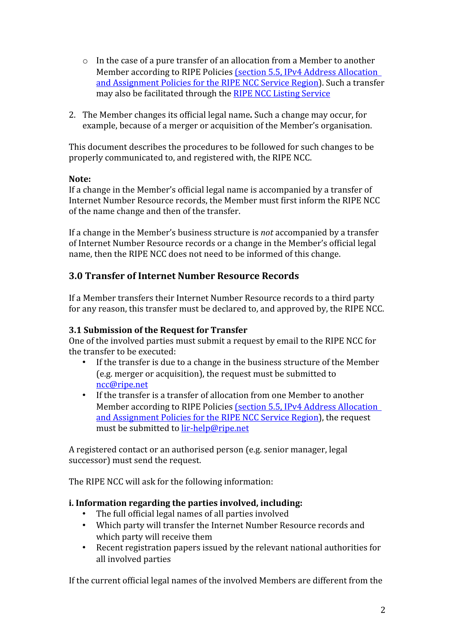- o In the case of a pure transfer of an allocation from a Member to another Member according to RIPE Policies [\(section 5.5, IPv4 Address Allocation](http://www.ripe.net/ripe/docs/ipv4-policies/#----transfers-of-allocations)  [and Assignment Policies for the RIPE NCC Service Region\)](http://www.ripe.net/ripe/docs/ipv4-policies/#----transfers-of-allocations). Such a transfer may also be facilitated through the [RIPE NCC Listing Service](https://www.ripe.net/lir-services/resource-management/listing)
- 2. The Member changes its official legal name**.** Such a change may occur, for example, because of a merger or acquisition of the Member's organisation.

This document describes the procedures to be followed for such changes to be properly communicated to, and registered with, the RIPE NCC.

#### **Note:**

If a change in the Member's official legal name is accompanied by a transfer of Internet Number Resource records, the Member must first inform the RIPE NCC of the name change and then of the transfer.

If a change in the Member's business structure is *not* accompanied by a transfer of Internet Number Resource records or a change in the Member's official legal name, then the RIPE NCC does not need to be informed of this change.

# <span id="page-1-1"></span>**3.0 Transfer of Internet Number Resource Records**

If a Member transfers their Internet Number Resource records to a third party for any reason, this transfer must be declared to, and approved by, the RIPE NCC.

## <span id="page-1-0"></span>**3.1 Submission of the Request for Transfer**

One of the involved parties must submit a request by email to the RIPE NCC for the transfer to be executed:

- If the transfer is due to a change in the business structure of the Member (e.g. merger or acquisition), the request must be submitted to [ncc@ripe.net](mailto:ncc@ripe.net)
- If the transfer is a transfer of allocation from one Member to another Member according to RIPE Policies (section 5.5, IPv4 Address Allocation [and Assignment Policies for the RIPE NCC Service Region\)](http://www.ripe.net/ripe/docs/ipv4-policies/#----transfers-of-allocations), the request must be submitted to [lir-help@ripe.net](mailto:lir-help@ripe.net)

A registered contact or an authorised person (e.g. senior manager, legal successor) must send the request.

The RIPE NCC will ask for the following information:

## **i. Information regarding the parties involved, including:**

- The full official legal names of all parties involved
- Which party will transfer the Internet Number Resource records and which party will receive them
- Recent registration papers issued by the relevant national authorities for all involved parties

If the current official legal names of the involved Members are different from the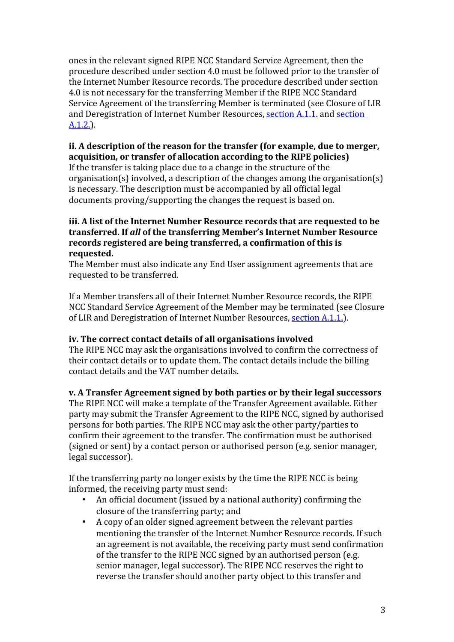ones in the relevant signed RIPE NCC Standard Service Agreement, then the procedure described under section 4.0 must be followed prior to the transfer of the Internet Number Resource records. The procedure described under section 4.0 is not necessary for the transferring Member if the RIPE NCC Standard Service Agreement of the transferring Member is terminated (see Closure of LIR and Deregistration of Internet Number Resources, [section A.1.1.](http://www.ripe.net/ripe/docs/closure/#a11) and [section](http://www.ripe.net/ripe/docs/closure/#a12)  [A.1.2.\)](http://www.ripe.net/ripe/docs/closure/#a12).

# **ii. A description of the reason for the transfer (for example, due to merger, acquisition, or transfer of allocation according to the RIPE policies)**

If the transfer is taking place due to a change in the structure of the organisation(s) involved, a description of the changes among the organisation(s) is necessary. The description must be accompanied by all official legal documents proving/supporting the changes the request is based on.

#### **iii. A list of the Internet Number Resource records that are requested to be transferred. If** *all* **of the transferring Member's Internet Number Resource records registered are being transferred, a confirmation of this is requested.**

The Member must also indicate any End User assignment agreements that are requested to be transferred.

If a Member transfers all of their Internet Number Resource records, the RIPE NCC Standard Service Agreement of the Member may be terminated (see Closure of LIR and Deregistration of Internet Number Resources, [section A.1.1.\)](http://www.ripe.net/ripe/docs/closure/#a11).

## **iv. The correct contact details of all organisations involved**

The RIPE NCC may ask the organisations involved to confirm the correctness of their contact details or to update them. The contact details include the billing contact details and the VAT number details.

## **v. A Transfer Agreement signed by both parties or by their legal successors**

The RIPE NCC will make a template of the Transfer Agreement available. Either party may submit the Transfer Agreement to the RIPE NCC, signed by authorised persons for both parties. The RIPE NCC may ask the other party/parties to confirm their agreement to the transfer. The confirmation must be authorised (signed or sent) by a contact person or authorised person (e.g. senior manager, legal successor).

If the transferring party no longer exists by the time the RIPE NCC is being informed, the receiving party must send:

- An official document (issued by a national authority) confirming the closure of the transferring party; and
- A copy of an older signed agreement between the relevant parties mentioning the transfer of the Internet Number Resource records. If such an agreement is not available, the receiving party must send confirmation of the transfer to the RIPE NCC signed by an authorised person (e.g. senior manager, legal successor). The RIPE NCC reserves the right to reverse the transfer should another party object to this transfer and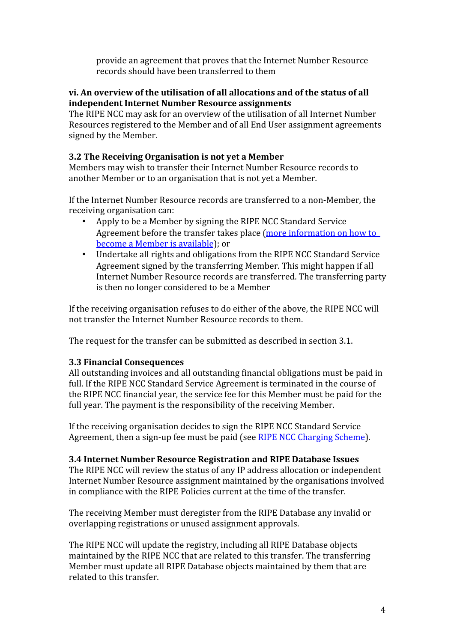provide an agreement that proves that the Internet Number Resource records should have been transferred to them

#### **vi. An overview of the utilisation of all allocations and of the status of all independent Internet Number Resource assignments**

The RIPE NCC may ask for an overview of the utilisation of all Internet Number Resources registered to the Member and of all End User assignment agreements signed by the Member.

## <span id="page-3-2"></span>**3.2 The Receiving Organisation is not yet a Member**

Members may wish to transfer their Internet Number Resource records to another Member or to an organisation that is not yet a Member.

If the Internet Number Resource records are transferred to a non-Member, the receiving organisation can:

- Apply to be a Member by signing the RIPE NCC Standard Service Agreement before the transfer takes place [\(more information on how to](http://www.ripe.net/membership/new-members)  [become a Member is available\)](http://www.ripe.net/membership/new-members); or
- Undertake all rights and obligations from the RIPE NCC Standard Service Agreement signed by the transferring Member. This might happen if all Internet Number Resource records are transferred. The transferring party is then no longer considered to be a Member

If the receiving organisation refuses to do either of the above, the RIPE NCC will not transfer the Internet Number Resource records to them.

The request for the transfer can be submitted as described in section 3.1.

## <span id="page-3-1"></span>**3.3 Financial Consequences**

All outstanding invoices and all outstanding financial obligations must be paid in full. If the RIPE NCC Standard Service Agreement is terminated in the course of the RIPE NCC financial year, the service fee for this Member must be paid for the full year. The payment is the responsibility of the receiving Member.

If the receiving organisation decides to sign the RIPE NCC Standard Service Agreement, then a sign-up fee must be paid (see [RIPE NCC Charging Scheme\)](http://www.ripe.net/ripe/docs/charging).

#### <span id="page-3-0"></span>**3.4 Internet Number Resource Registration and RIPE Database Issues**

The RIPE NCC will review the status of any IP address allocation or independent Internet Number Resource assignment maintained by the organisations involved in compliance with the RIPE Policies current at the time of the transfer.

The receiving Member must deregister from the RIPE Database any invalid or overlapping registrations or unused assignment approvals.

The RIPE NCC will update the registry, including all RIPE Database objects maintained by the RIPE NCC that are related to this transfer. The transferring Member must update all RIPE Database objects maintained by them that are related to this transfer.